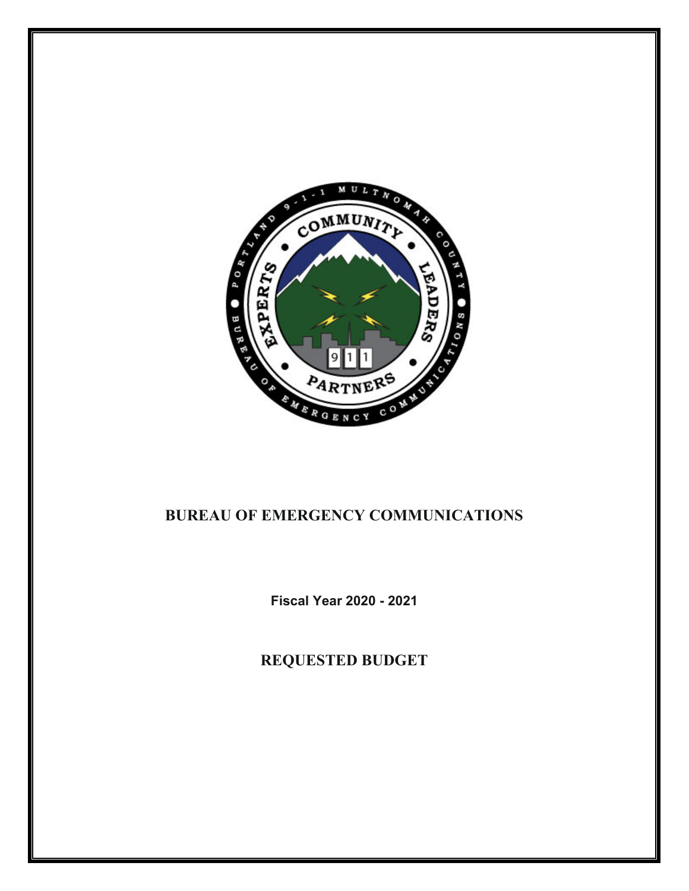

# **BUREAU OF EMERGENCY COMMUNICATIONS**

**Fiscal Year 2020 - 2021**

**REQUESTED BUDGET**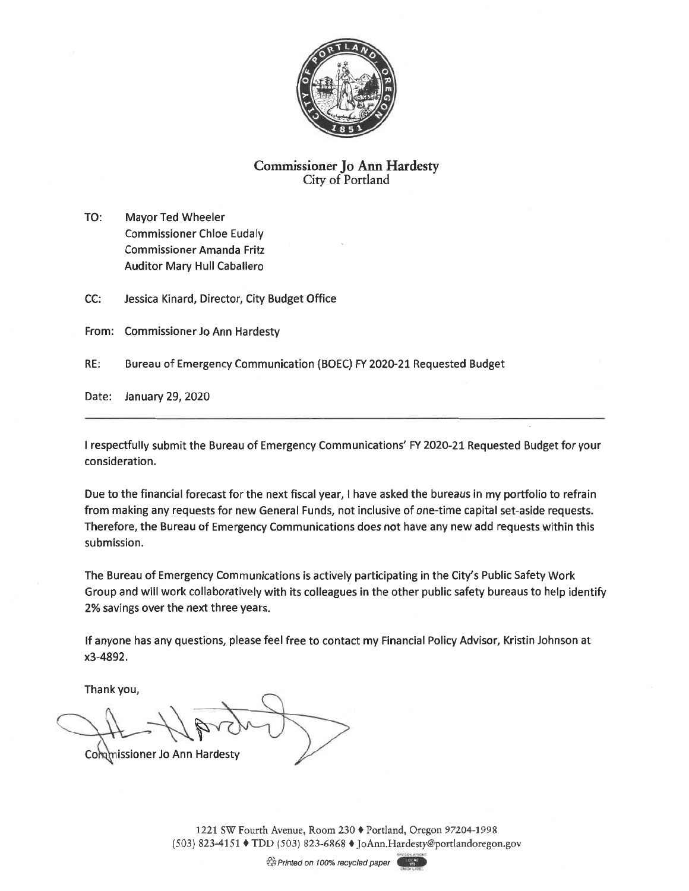

### **Commissioner Io Ann Hardesty** City of Portland

TO: Mayor Ted Wheeler **Commissioner Chloe Eudaly Commissioner Amanda Fritz Auditor Mary Hull Caballero** 

 $CC:$ Jessica Kinard, Director, City Budget Office

From: Commissioner Jo Ann Hardesty

RE: Bureau of Emergency Communication (BOEC) FY 2020-21 Requested Budget

Date: January 29, 2020

I respectfully submit the Bureau of Emergency Communications' FY 2020-21 Requested Budget for your consideration.

Due to the financial forecast for the next fiscal year, I have asked the bureaus in my portfolio to refrain from making any requests for new General Funds, not inclusive of one-time capital set-aside requests. Therefore, the Bureau of Emergency Communications does not have any new add requests within this submission.

The Bureau of Emergency Communications is actively participating in the City's Public Safety Work Group and will work collaboratively with its colleagues in the other public safety bureaus to help identify 2% savings over the next three years.

If anyone has any questions, please feel free to contact my Financial Policy Advisor, Kristin Johnson at x3-4892.

Thank vou.

Commissioner Jo Ann Hardesty

1221 SW Fourth Avenue, Room 230 CPortland, Oregon 97204-1998 (503) 823-4151 ♦ TDD (503) 823-6868 ♦ JoAnn.Hardesty@portlandoregon.gov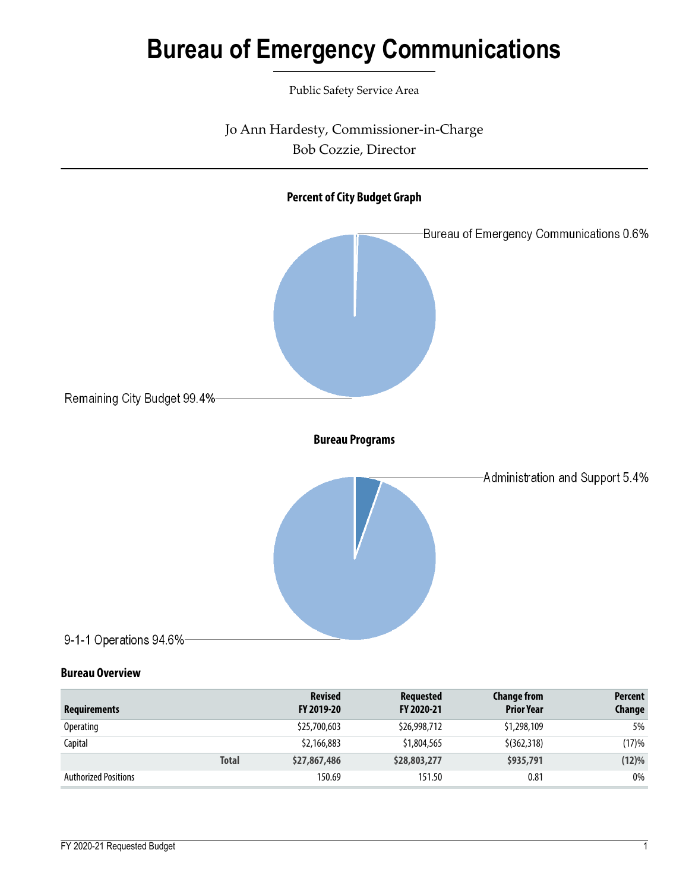# **Bureau of Emergency Communications**

Public Safety Service Area

Jo Ann Hardesty, Commissioner-in-Charge Bob Cozzie, Director



### **Bureau Overview**

| Requirements                |              | <b>Revised</b><br>FY 2019-20 | Requested<br>FY 2020-21 | <b>Change from</b><br><b>Prior Year</b> | <b>Percent</b><br>Change |
|-----------------------------|--------------|------------------------------|-------------------------|-----------------------------------------|--------------------------|
| <b>Operating</b>            |              | \$25,700,603                 | \$26,998,712            | \$1,298,109                             | 5%                       |
| Capital                     |              | \$2,166,883                  | \$1,804,565             | $$$ (362,318)                           | (17)%                    |
|                             | <b>Total</b> | \$27,867,486                 | \$28,803,277            | \$935,791                               | (12)%                    |
| <b>Authorized Positions</b> |              | 150.69                       | 151.50                  | 0.81                                    | 0%                       |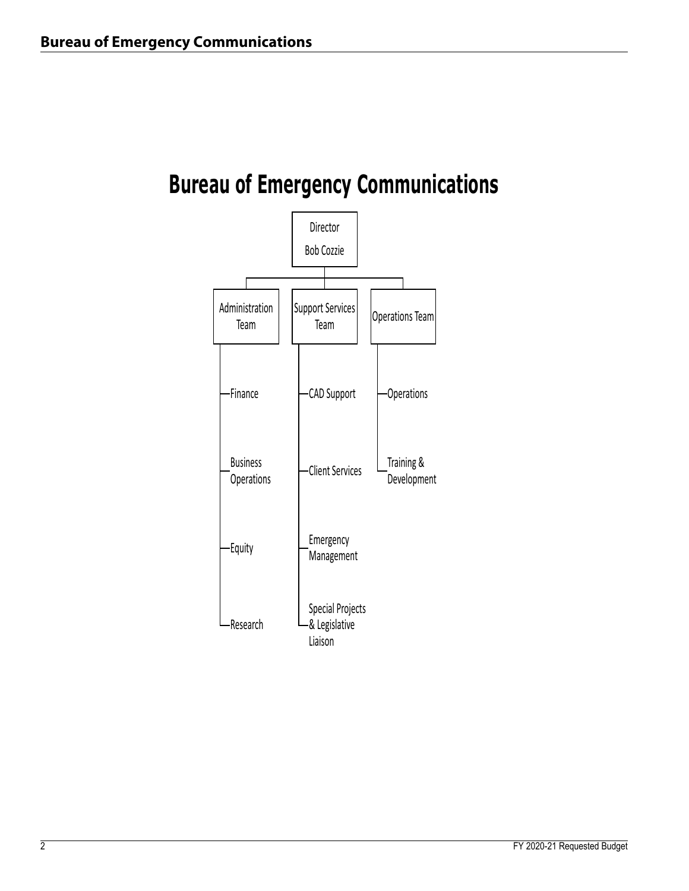# **Bureau of Emergency Communications**

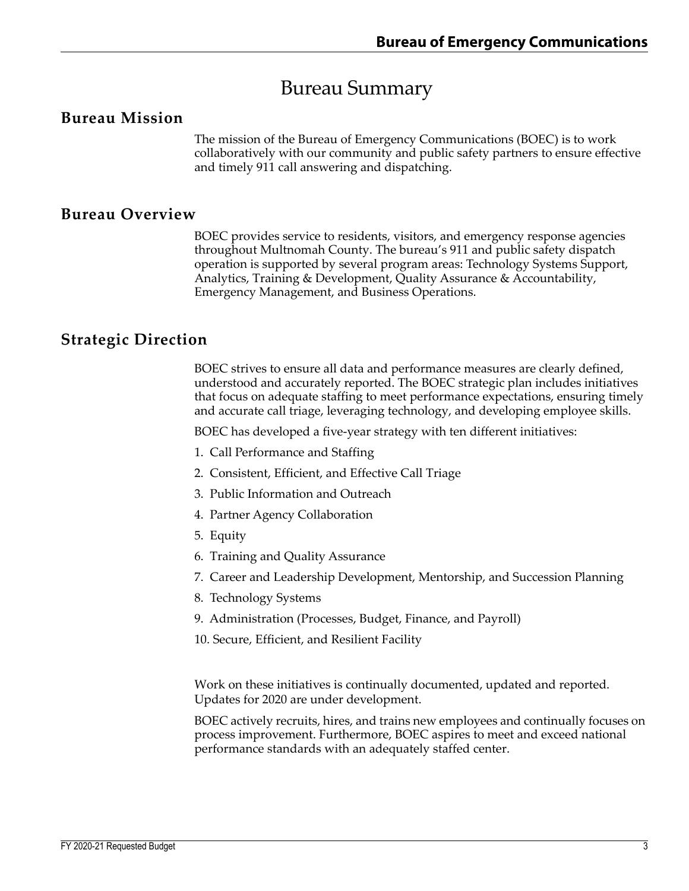# Bureau Summary

## **Bureau Mission**

The mission of the Bureau of Emergency Communications (BOEC) is to work collaboratively with our community and public safety partners to ensure effective and timely 911 call answering and dispatching.

## **Bureau Overview**

BOEC provides service to residents, visitors, and emergency response agencies throughout Multnomah County. The bureau's 911 and public safety dispatch operation is supported by several program areas: Technology Systems Support, Analytics, Training & Development, Quality Assurance & Accountability, Emergency Management, and Business Operations.

## **Strategic Direction**

BOEC strives to ensure all data and performance measures are clearly defined, understood and accurately reported. The BOEC strategic plan includes initiatives that focus on adequate staffing to meet performance expectations, ensuring timely and accurate call triage, leveraging technology, and developing employee skills.

BOEC has developed a five-year strategy with ten different initiatives:

- 1. Call Performance and Staffing
- 2. Consistent, Efficient, and Effective Call Triage
- 3. Public Information and Outreach
- 4. Partner Agency Collaboration
- 5. Equity
- 6. Training and Quality Assurance
- 7. Career and Leadership Development, Mentorship, and Succession Planning
- 8. Technology Systems
- 9. Administration (Processes, Budget, Finance, and Payroll)
- 10. Secure, Efficient, and Resilient Facility

Work on these initiatives is continually documented, updated and reported. Updates for 2020 are under development.

BOEC actively recruits, hires, and trains new employees and continually focuses on process improvement. Furthermore, BOEC aspires to meet and exceed national performance standards with an adequately staffed center.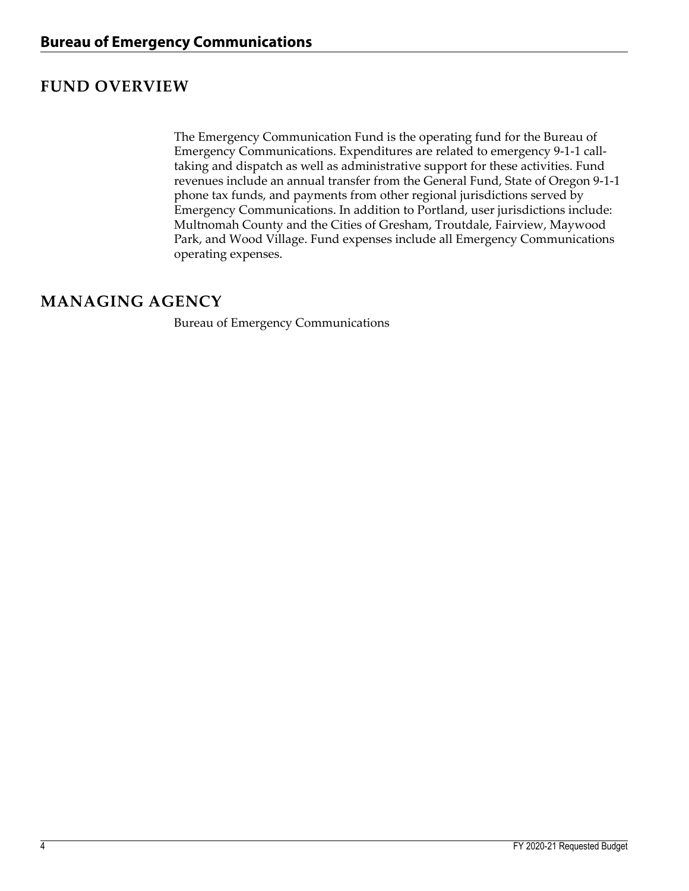# **FUND OVERVIEW**

The Emergency Communication Fund is the operating fund for the Bureau of Emergency Communications. Expenditures are related to emergency 9-1-1 calltaking and dispatch as well as administrative support for these activities. Fund revenues include an annual transfer from the General Fund, State of Oregon 9-1-1 phone tax funds, and payments from other regional jurisdictions served by Emergency Communications. In addition to Portland, user jurisdictions include: Multnomah County and the Cities of Gresham, Troutdale, Fairview, Maywood Park, and Wood Village. Fund expenses include all Emergency Communications operating expenses.

## **MANAGING AGENCY**

Bureau of Emergency Communications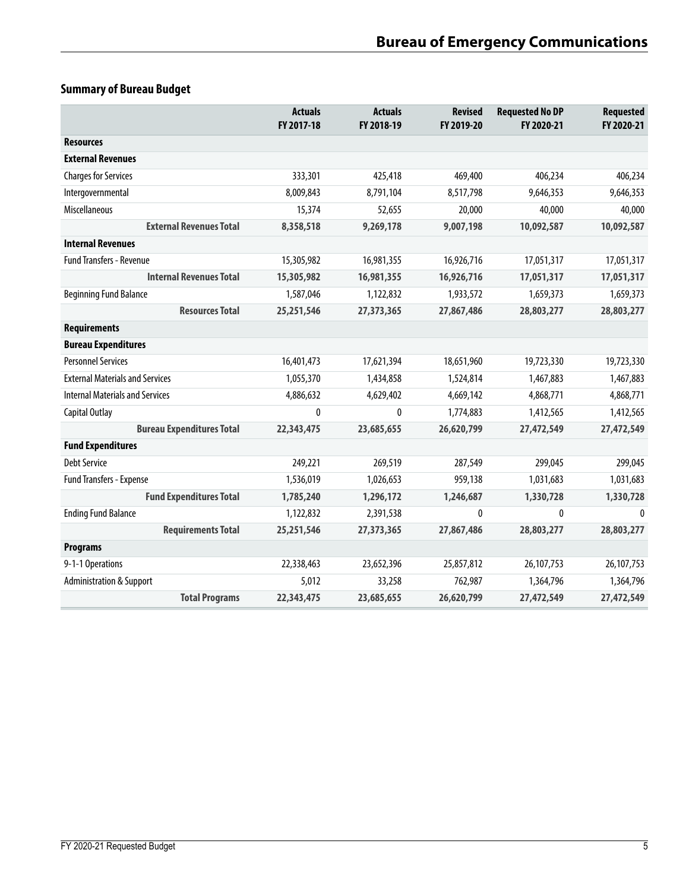# **Summary of Bureau Budget**

|                                        | <b>Actuals</b><br>FY 2017-18 | <b>Actuals</b><br>FY 2018-19 | <b>Revised</b><br>FY 2019-20 | <b>Requested No DP</b><br>FY 2020-21 | <b>Requested</b><br>FY 2020-21 |
|----------------------------------------|------------------------------|------------------------------|------------------------------|--------------------------------------|--------------------------------|
| <b>Resources</b>                       |                              |                              |                              |                                      |                                |
| <b>External Revenues</b>               |                              |                              |                              |                                      |                                |
| <b>Charges for Services</b>            | 333,301                      | 425,418                      | 469,400                      | 406,234                              | 406,234                        |
| Intergovernmental                      | 8,009,843                    | 8,791,104                    | 8,517,798                    | 9,646,353                            | 9,646,353                      |
| <b>Miscellaneous</b>                   | 15,374                       | 52,655                       | 20,000                       | 40,000                               | 40,000                         |
| <b>External Revenues Total</b>         | 8,358,518                    | 9,269,178                    | 9,007,198                    | 10,092,587                           | 10,092,587                     |
| <b>Internal Revenues</b>               |                              |                              |                              |                                      |                                |
| <b>Fund Transfers - Revenue</b>        | 15,305,982                   | 16,981,355                   | 16,926,716                   | 17,051,317                           | 17,051,317                     |
| <b>Internal Revenues Total</b>         | 15,305,982                   | 16,981,355                   | 16,926,716                   | 17,051,317                           | 17,051,317                     |
| <b>Beginning Fund Balance</b>          | 1,587,046                    | 1,122,832                    | 1,933,572                    | 1,659,373                            | 1,659,373                      |
| <b>Resources Total</b>                 | 25,251,546                   | 27,373,365                   | 27,867,486                   | 28,803,277                           | 28,803,277                     |
| <b>Requirements</b>                    |                              |                              |                              |                                      |                                |
| <b>Bureau Expenditures</b>             |                              |                              |                              |                                      |                                |
| <b>Personnel Services</b>              | 16,401,473                   | 17,621,394                   | 18,651,960                   | 19,723,330                           | 19,723,330                     |
| <b>External Materials and Services</b> | 1,055,370                    | 1,434,858                    | 1,524,814                    | 1,467,883                            | 1,467,883                      |
| <b>Internal Materials and Services</b> | 4,886,632                    | 4,629,402                    | 4,669,142                    | 4,868,771                            | 4,868,771                      |
| Capital Outlay                         | 0                            | 0                            | 1,774,883                    | 1,412,565                            | 1,412,565                      |
| <b>Bureau Expenditures Total</b>       | 22,343,475                   | 23,685,655                   | 26,620,799                   | 27,472,549                           | 27,472,549                     |
| <b>Fund Expenditures</b>               |                              |                              |                              |                                      |                                |
| <b>Debt Service</b>                    | 249,221                      | 269,519                      | 287,549                      | 299,045                              | 299,045                        |
| Fund Transfers - Expense               | 1,536,019                    | 1,026,653                    | 959,138                      | 1,031,683                            | 1,031,683                      |
| <b>Fund Expenditures Total</b>         | 1,785,240                    | 1,296,172                    | 1,246,687                    | 1,330,728                            | 1,330,728                      |
| <b>Ending Fund Balance</b>             | 1,122,832                    | 2,391,538                    | 0                            | $\mathbf{0}$                         | $\mathbf{0}$                   |
| <b>Requirements Total</b>              | 25,251,546                   | 27,373,365                   | 27,867,486                   | 28,803,277                           | 28,803,277                     |
| <b>Programs</b>                        |                              |                              |                              |                                      |                                |
| 9-1-1 Operations                       | 22,338,463                   | 23,652,396                   | 25,857,812                   | 26,107,753                           | 26,107,753                     |
| <b>Administration &amp; Support</b>    | 5,012                        | 33,258                       | 762,987                      | 1,364,796                            | 1,364,796                      |
| <b>Total Programs</b>                  | 22,343,475                   | 23,685,655                   | 26,620,799                   | 27,472,549                           | 27,472,549                     |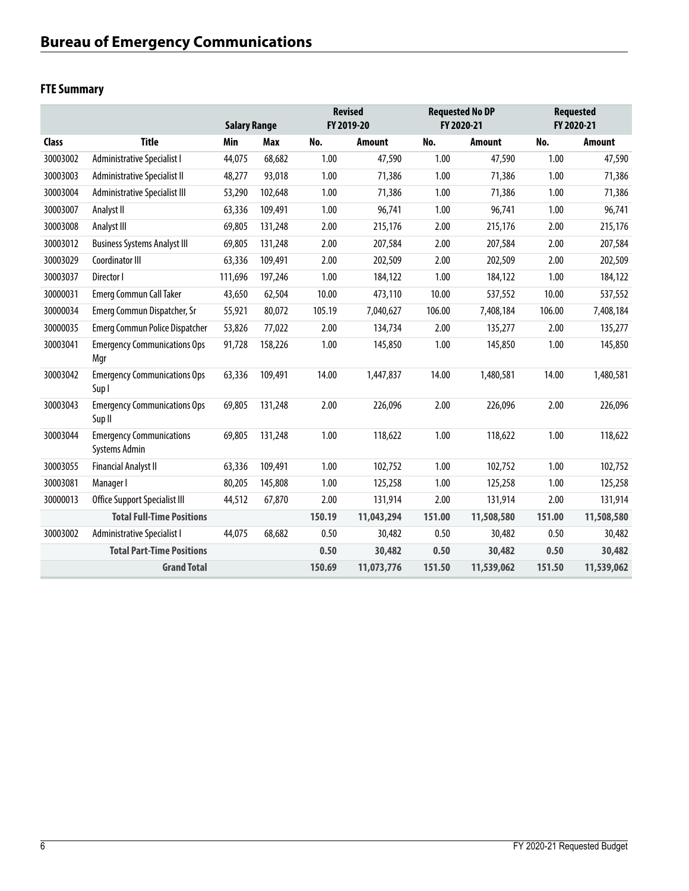# **FTE Summary**

|              |                                                  | <b>Salary Range</b> |         |        | <b>Revised</b><br>FY 2019-20 |        | <b>Requested No DP</b><br>FY 2020-21 |        | <b>Requested</b><br>FY 2020-21 |
|--------------|--------------------------------------------------|---------------------|---------|--------|------------------------------|--------|--------------------------------------|--------|--------------------------------|
| <b>Class</b> | <b>Title</b>                                     | Min                 | Max     | No.    | <b>Amount</b>                | No.    | <b>Amount</b>                        | No.    | <b>Amount</b>                  |
| 30003002     | Administrative Specialist I                      | 44,075              | 68,682  | 1.00   | 47,590                       | 1.00   | 47,590                               | 1.00   | 47,590                         |
| 30003003     | Administrative Specialist II                     | 48,277              | 93,018  | 1.00   | 71,386                       | 1.00   | 71,386                               | 1.00   | 71,386                         |
| 30003004     | Administrative Specialist III                    | 53,290              | 102,648 | 1.00   | 71,386                       | 1.00   | 71,386                               | 1.00   | 71,386                         |
| 30003007     | Analyst II                                       | 63,336              | 109,491 | 1.00   | 96,741                       | 1.00   | 96,741                               | 1.00   | 96,741                         |
| 30003008     | Analyst III                                      | 69,805              | 131,248 | 2.00   | 215,176                      | 2.00   | 215,176                              | 2.00   | 215,176                        |
| 30003012     | <b>Business Systems Analyst III</b>              | 69,805              | 131,248 | 2.00   | 207,584                      | 2.00   | 207,584                              | 2.00   | 207,584                        |
| 30003029     | Coordinator III                                  | 63,336              | 109,491 | 2.00   | 202,509                      | 2.00   | 202,509                              | 2.00   | 202,509                        |
| 30003037     | Director I                                       | 111,696             | 197,246 | 1.00   | 184,122                      | 1.00   | 184,122                              | 1.00   | 184,122                        |
| 30000031     | Emerg Commun Call Taker                          | 43,650              | 62,504  | 10.00  | 473,110                      | 10.00  | 537,552                              | 10.00  | 537,552                        |
| 30000034     | Emerg Commun Dispatcher, Sr                      | 55,921              | 80,072  | 105.19 | 7,040,627                    | 106.00 | 7,408,184                            | 106.00 | 7,408,184                      |
| 30000035     | Emerg Commun Police Dispatcher                   | 53,826              | 77,022  | 2.00   | 134,734                      | 2.00   | 135,277                              | 2.00   | 135,277                        |
| 30003041     | <b>Emergency Communications Ops</b><br>Mgr       | 91,728              | 158,226 | 1.00   | 145,850                      | 1.00   | 145,850                              | 1.00   | 145,850                        |
| 30003042     | <b>Emergency Communications Ops</b><br>Sup I     | 63,336              | 109,491 | 14.00  | 1,447,837                    | 14.00  | 1,480,581                            | 14.00  | 1,480,581                      |
| 30003043     | <b>Emergency Communications Ops</b><br>Sup II    | 69,805              | 131,248 | 2.00   | 226,096                      | 2.00   | 226,096                              | 2.00   | 226,096                        |
| 30003044     | <b>Emergency Communications</b><br>Systems Admin | 69,805              | 131,248 | 1.00   | 118,622                      | 1.00   | 118,622                              | 1.00   | 118,622                        |
| 30003055     | <b>Financial Analyst II</b>                      | 63,336              | 109,491 | 1.00   | 102,752                      | 1.00   | 102,752                              | 1.00   | 102,752                        |
| 30003081     | Manager I                                        | 80,205              | 145,808 | 1.00   | 125,258                      | 1.00   | 125,258                              | 1.00   | 125,258                        |
| 30000013     | Office Support Specialist III                    | 44,512              | 67,870  | 2.00   | 131,914                      | 2.00   | 131,914                              | 2.00   | 131,914                        |
|              | <b>Total Full-Time Positions</b>                 |                     |         | 150.19 | 11,043,294                   | 151.00 | 11,508,580                           | 151.00 | 11,508,580                     |
| 30003002     | Administrative Specialist I                      | 44,075              | 68,682  | 0.50   | 30,482                       | 0.50   | 30,482                               | 0.50   | 30,482                         |
|              | <b>Total Part-Time Positions</b>                 |                     |         | 0.50   | 30,482                       | 0.50   | 30,482                               | 0.50   | 30,482                         |
|              | <b>Grand Total</b>                               |                     |         | 150.69 | 11,073,776                   | 151.50 | 11,539,062                           | 151.50 | 11,539,062                     |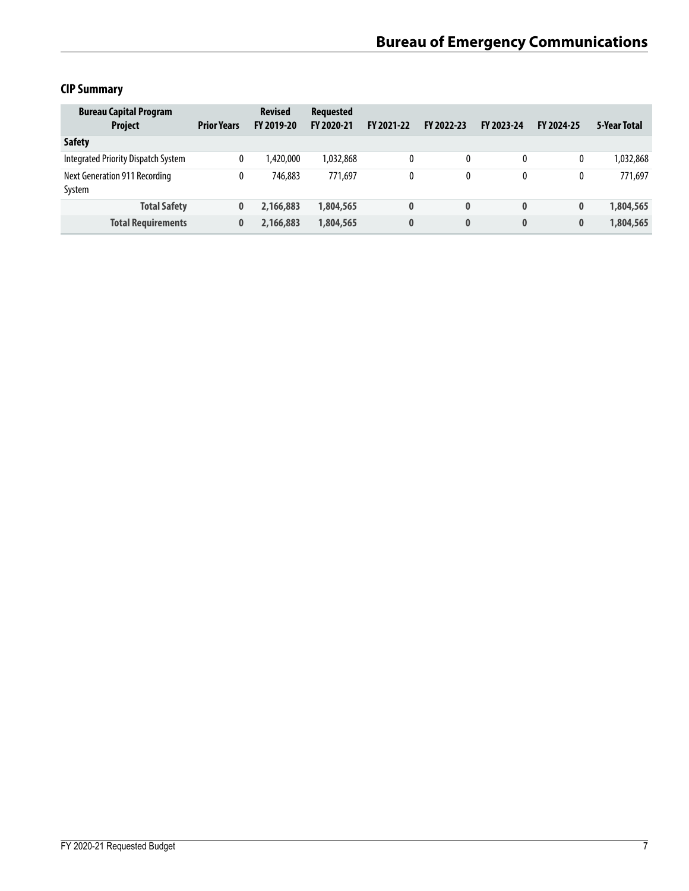# **CIP Summary**

| <b>Bureau Capital Program</b><br><b>Project</b> | <b>Prior Years</b> | <b>Revised</b><br>FY 2019-20 | <b>Requested</b><br>FY 2020-21 | FY 2021-22 | FY 2022-23   | FY 2023-24 | FY 2024-25 | 5-Year Total |
|-------------------------------------------------|--------------------|------------------------------|--------------------------------|------------|--------------|------------|------------|--------------|
| <b>Safety</b>                                   |                    |                              |                                |            |              |            |            |              |
| Integrated Priority Dispatch System             | 0                  | 1,420,000                    | 1,032,868                      | 0          | $\mathbf{0}$ | 0          | 0          | 1,032,868    |
| Next Generation 911 Recording<br>System         | 0                  | 746.883                      | 771.697                        | 0          | 0            | 0          | 0          | 771.697      |
| <b>Total Safety</b>                             | 0                  | 2.166,883                    | 1,804,565                      | $\bf{0}$   | $\bf{0}$     | 0          | $\bf{0}$   | 1,804,565    |
| <b>Total Requirements</b>                       | $\bf{0}$           | 2,166,883                    | 1,804,565                      | $\bf{0}$   | $\bf{0}$     | 0          | $\bf{0}$   | 1,804,565    |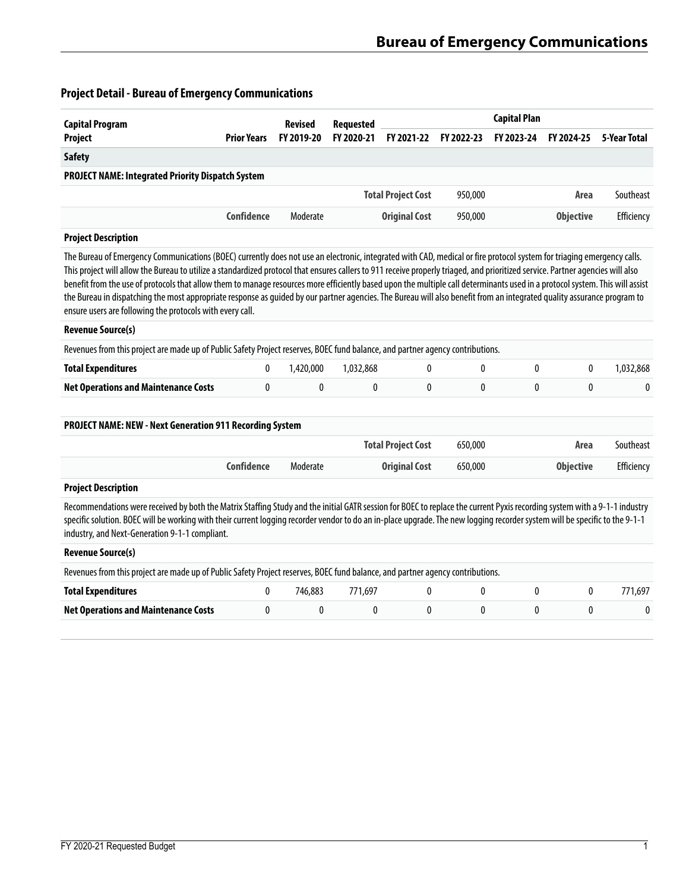# **Project Detail - Bureau of Emergency Communications**

| <b>Capital Program</b>                                                                                                                                                                                                                                                                                                                                                                                                                                                                                                                                                                                                                                                                                                                                                            |                    | <b>Revised</b> | <b>Requested</b> |                           |            | <b>Capital Plan</b> |                  |                     |
|-----------------------------------------------------------------------------------------------------------------------------------------------------------------------------------------------------------------------------------------------------------------------------------------------------------------------------------------------------------------------------------------------------------------------------------------------------------------------------------------------------------------------------------------------------------------------------------------------------------------------------------------------------------------------------------------------------------------------------------------------------------------------------------|--------------------|----------------|------------------|---------------------------|------------|---------------------|------------------|---------------------|
| Project                                                                                                                                                                                                                                                                                                                                                                                                                                                                                                                                                                                                                                                                                                                                                                           | <b>Prior Years</b> | FY 2019-20     | FY 2020-21       | FY 2021-22                | FY 2022-23 | FY 2023-24          | FY 2024-25       | <b>5-Year Total</b> |
| <b>Safety</b>                                                                                                                                                                                                                                                                                                                                                                                                                                                                                                                                                                                                                                                                                                                                                                     |                    |                |                  |                           |            |                     |                  |                     |
| <b>PROJECT NAME: Integrated Priority Dispatch System</b>                                                                                                                                                                                                                                                                                                                                                                                                                                                                                                                                                                                                                                                                                                                          |                    |                |                  |                           |            |                     |                  |                     |
|                                                                                                                                                                                                                                                                                                                                                                                                                                                                                                                                                                                                                                                                                                                                                                                   |                    |                |                  | <b>Total Project Cost</b> | 950,000    |                     | Area             | Southeast           |
|                                                                                                                                                                                                                                                                                                                                                                                                                                                                                                                                                                                                                                                                                                                                                                                   | <b>Confidence</b>  | Moderate       |                  | <b>Original Cost</b>      | 950,000    |                     | <b>Objective</b> | Efficiency          |
| <b>Project Description</b>                                                                                                                                                                                                                                                                                                                                                                                                                                                                                                                                                                                                                                                                                                                                                        |                    |                |                  |                           |            |                     |                  |                     |
| The Bureau of Emergency Communications (BOEC) currently does not use an electronic, integrated with CAD, medical or fire protocol system for triaging emergency calls.<br>This project will allow the Bureau to utilize a standardized protocol that ensures callers to 911 receive properly triaged, and prioritized service. Partner agencies will also<br>benefit from the use of protocols that allow them to manage resources more efficiently based upon the multiple call determinants used in a protocol system. This will assist<br>the Bureau in dispatching the most appropriate response as quided by our partner agencies. The Bureau will also benefit from an integrated quality assurance program to<br>ensure users are following the protocols with every call. |                    |                |                  |                           |            |                     |                  |                     |
| <b>Revenue Source(s)</b>                                                                                                                                                                                                                                                                                                                                                                                                                                                                                                                                                                                                                                                                                                                                                          |                    |                |                  |                           |            |                     |                  |                     |
| Revenues from this project are made up of Public Safety Project reserves, BOEC fund balance, and partner agency contributions.                                                                                                                                                                                                                                                                                                                                                                                                                                                                                                                                                                                                                                                    |                    |                |                  |                           |            |                     |                  |                     |
| <b>Total Expenditures</b>                                                                                                                                                                                                                                                                                                                                                                                                                                                                                                                                                                                                                                                                                                                                                         | 0                  | 1,420,000      | 1,032,868        | 0                         | 0          | $\mathbf{0}$        | 0                | 1,032,868           |
| <b>Net Operations and Maintenance Costs</b>                                                                                                                                                                                                                                                                                                                                                                                                                                                                                                                                                                                                                                                                                                                                       | 0                  | $\mathbf{0}$   | 0                | 0                         | 0          | 0                   | 0                | 0                   |
| <b>PROJECT NAME: NEW - Next Generation 911 Recording System</b>                                                                                                                                                                                                                                                                                                                                                                                                                                                                                                                                                                                                                                                                                                                   |                    |                |                  |                           |            |                     |                  |                     |
|                                                                                                                                                                                                                                                                                                                                                                                                                                                                                                                                                                                                                                                                                                                                                                                   |                    |                |                  | <b>Total Project Cost</b> | 650,000    |                     | Area             | Southeast           |
|                                                                                                                                                                                                                                                                                                                                                                                                                                                                                                                                                                                                                                                                                                                                                                                   | <b>Confidence</b>  | Moderate       |                  | <b>Original Cost</b>      | 650,000    |                     | <b>Objective</b> | Efficiency          |
| <b>Project Description</b>                                                                                                                                                                                                                                                                                                                                                                                                                                                                                                                                                                                                                                                                                                                                                        |                    |                |                  |                           |            |                     |                  |                     |
|                                                                                                                                                                                                                                                                                                                                                                                                                                                                                                                                                                                                                                                                                                                                                                                   |                    |                |                  |                           |            |                     |                  |                     |
| Recommendations were received by both the Matrix Staffing Study and the initial GATR session for BOEC to replace the current Pyxis recording system with a 9-1-1 industry<br>specific solution. BOEC will be working with their current logging recorder vendor to do an in-place upgrade. The new logging recorder system will be specific to the 9-1-1<br>industry, and Next-Generation 9-1-1 compliant.                                                                                                                                                                                                                                                                                                                                                                        |                    |                |                  |                           |            |                     |                  |                     |
| <b>Revenue Source(s)</b>                                                                                                                                                                                                                                                                                                                                                                                                                                                                                                                                                                                                                                                                                                                                                          |                    |                |                  |                           |            |                     |                  |                     |
| Revenues from this project are made up of Public Safety Project reserves, BOEC fund balance, and partner agency contributions.                                                                                                                                                                                                                                                                                                                                                                                                                                                                                                                                                                                                                                                    |                    |                |                  |                           |            |                     |                  |                     |
| <b>Total Expenditures</b>                                                                                                                                                                                                                                                                                                                                                                                                                                                                                                                                                                                                                                                                                                                                                         | 0                  | 746,883        | 771,697          | 0                         | 0          | 0                   | 0                | 771,697             |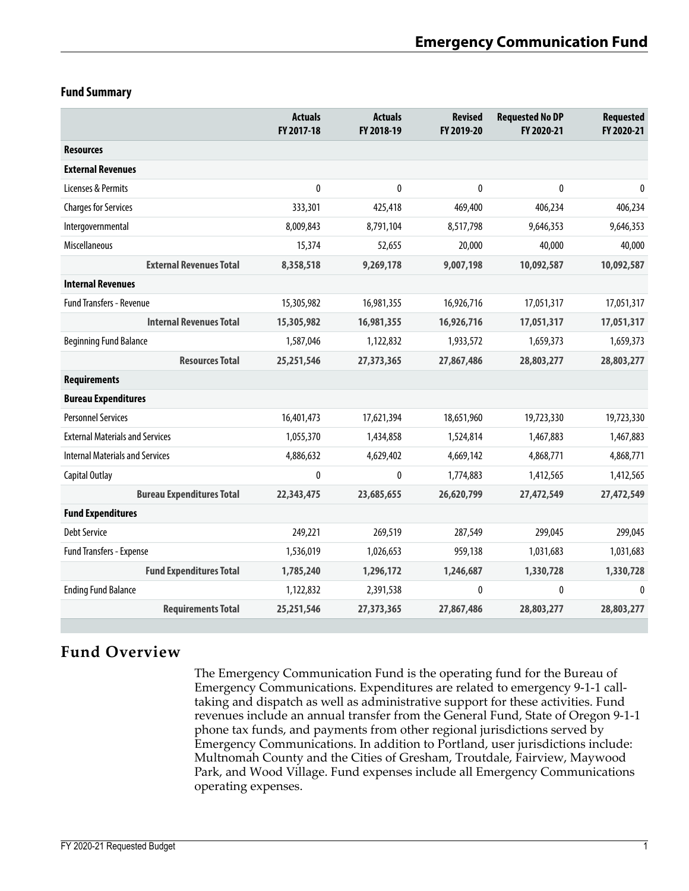### **Fund Summary**

|                                        | <b>Actuals</b><br>FY 2017-18 | <b>Actuals</b><br>FY 2018-19 | <b>Revised</b><br>FY 2019-20 | <b>Requested No DP</b><br>FY 2020-21 | <b>Requested</b><br>FY 2020-21 |
|----------------------------------------|------------------------------|------------------------------|------------------------------|--------------------------------------|--------------------------------|
|                                        |                              |                              |                              |                                      |                                |
|                                        |                              |                              |                              |                                      |                                |
|                                        | 0                            | 0                            | 0                            | 0                                    | 0                              |
|                                        | 333,301                      | 425,418                      | 469,400                      | 406,234                              | 406,234                        |
|                                        | 8,009,843                    | 8,791,104                    | 8,517,798                    | 9,646,353                            | 9,646,353                      |
|                                        | 15,374                       | 52,655                       | 20,000                       | 40,000                               | 40,000                         |
| <b>External Revenues Total</b>         | 8,358,518                    | 9,269,178                    | 9,007,198                    | 10,092,587                           | 10,092,587                     |
|                                        |                              |                              |                              |                                      |                                |
| <b>Fund Transfers - Revenue</b>        | 15,305,982                   | 16,981,355                   | 16,926,716                   | 17,051,317                           | 17,051,317                     |
| <b>Internal Revenues Total</b>         | 15,305,982                   | 16,981,355                   | 16,926,716                   | 17,051,317                           | 17,051,317                     |
| <b>Beginning Fund Balance</b>          | 1,587,046                    | 1,122,832                    | 1,933,572                    | 1,659,373                            | 1,659,373                      |
| <b>Resources Total</b>                 | 25,251,546                   | 27,373,365                   | 27,867,486                   | 28,803,277                           | 28,803,277                     |
|                                        |                              |                              |                              |                                      |                                |
| <b>Bureau Expenditures</b>             |                              |                              |                              |                                      |                                |
|                                        | 16,401,473                   | 17,621,394                   | 18,651,960                   | 19,723,330                           | 19,723,330                     |
| <b>External Materials and Services</b> | 1,055,370                    | 1,434,858                    | 1,524,814                    | 1,467,883                            | 1,467,883                      |
| <b>Internal Materials and Services</b> | 4,886,632                    | 4,629,402                    | 4,669,142                    | 4,868,771                            | 4,868,771                      |
|                                        | $\mathbf{0}$                 | 0                            | 1,774,883                    | 1,412,565                            | 1,412,565                      |
| <b>Bureau Expenditures Total</b>       | 22,343,475                   | 23,685,655                   | 26,620,799                   | 27,472,549                           | 27,472,549                     |
|                                        |                              |                              |                              |                                      |                                |
|                                        | 249,221                      | 269,519                      | 287,549                      | 299,045                              | 299,045                        |
| Fund Transfers - Expense               | 1,536,019                    | 1,026,653                    | 959,138                      | 1,031,683                            | 1,031,683                      |
| <b>Fund Expenditures Total</b>         | 1,785,240                    | 1,296,172                    | 1,246,687                    | 1,330,728                            | 1,330,728                      |
|                                        | 1,122,832                    | 2,391,538                    | 0                            | 0                                    | $\pmb{0}$                      |
| <b>Requirements Total</b>              | 25,251,546                   | 27,373,365                   | 27,867,486                   | 28,803,277                           | 28,803,277                     |
|                                        |                              |                              |                              |                                      |                                |

# **Fund Overview**

The Emergency Communication Fund is the operating fund for the Bureau of Emergency Communications. Expenditures are related to emergency 9-1-1 calltaking and dispatch as well as administrative support for these activities. Fund revenues include an annual transfer from the General Fund, State of Oregon 9-1-1 phone tax funds, and payments from other regional jurisdictions served by Emergency Communications. In addition to Portland, user jurisdictions include: Multnomah County and the Cities of Gresham, Troutdale, Fairview, Maywood Park, and Wood Village. Fund expenses include all Emergency Communications operating expenses.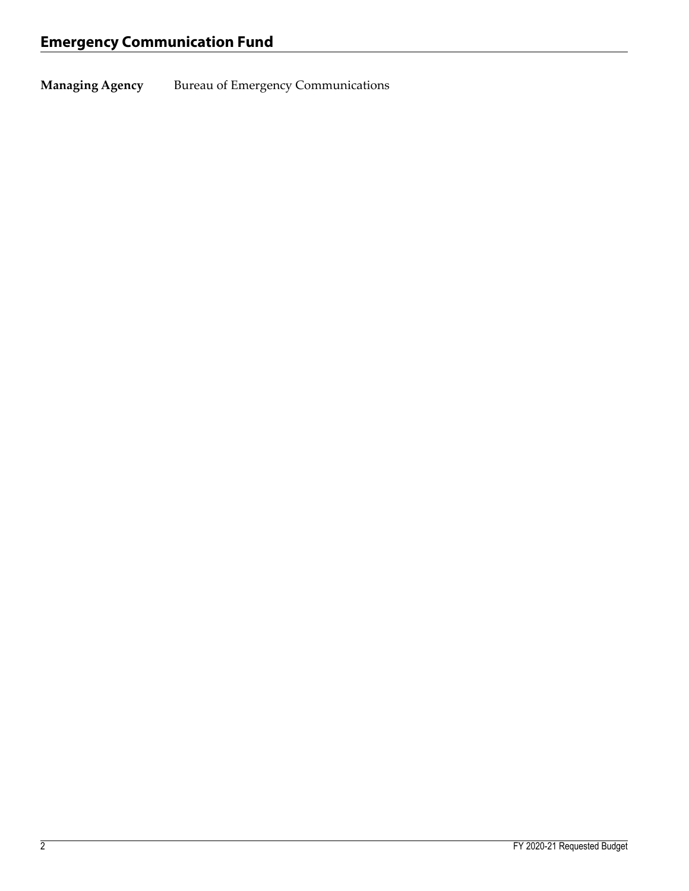**Managing Agency** Bureau of Emergency Communications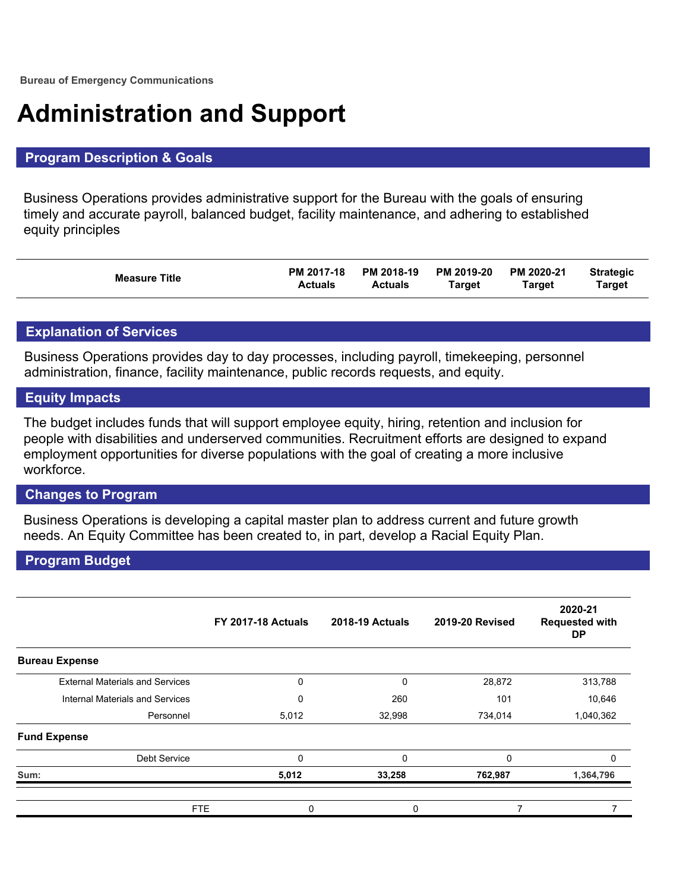# **Administration and Support**

## **Program Description & Goals**

Business Operations provides administrative support for the Bureau with the goals of ensuring timely and accurate payroll, balanced budget, facility maintenance, and adhering to established equity principles

| <b>Measure Title</b> | PM 2017-18<br>Actuals | PM 2018-19<br><b>Actuals</b> | PM 2019-20<br>Target | PM 2020-21<br>Target | <b>Strategic</b><br><b>Target</b> |  |
|----------------------|-----------------------|------------------------------|----------------------|----------------------|-----------------------------------|--|
|----------------------|-----------------------|------------------------------|----------------------|----------------------|-----------------------------------|--|

### **Explanation of Services**

Business Operations provides day to day processes, including payroll, timekeeping, personnel administration, finance, facility maintenance, public records requests, and equity.

### **Equity Impacts**

The budget includes funds that will support employee equity, hiring, retention and inclusion for people with disabilities and underserved communities. Recruitment efforts are designed to expand employment opportunities for diverse populations with the goal of creating a more inclusive workforce.

### **Changes to Program**

Business Operations is developing a capital master plan to address current and future growth needs. An Equity Committee has been created to, in part, develop a Racial Equity Plan.

### **Program Budget**

|                                        | <b>FY 2017-18 Actuals</b> | <b>2018-19 Actuals</b> | <b>2019-20 Revised</b> | 2020-21<br><b>Requested with</b><br><b>DP</b> |
|----------------------------------------|---------------------------|------------------------|------------------------|-----------------------------------------------|
| <b>Bureau Expense</b>                  |                           |                        |                        |                                               |
| <b>External Materials and Services</b> | 0                         | $\Omega$               | 28,872                 | 313,788                                       |
| Internal Materials and Services        | 0                         | 260                    | 101                    | 10,646                                        |
| Personnel                              | 5,012                     | 32,998                 | 734,014                | 1,040,362                                     |
| <b>Fund Expense</b>                    |                           |                        |                        |                                               |
| <b>Debt Service</b>                    | $\mathbf{0}$              | $\Omega$               | 0                      | 0                                             |
| Sum:                                   | 5,012                     | 33,258                 | 762,987                | 1,364,796                                     |
| <b>FTE</b>                             | 0                         | 0                      | 7                      | 7                                             |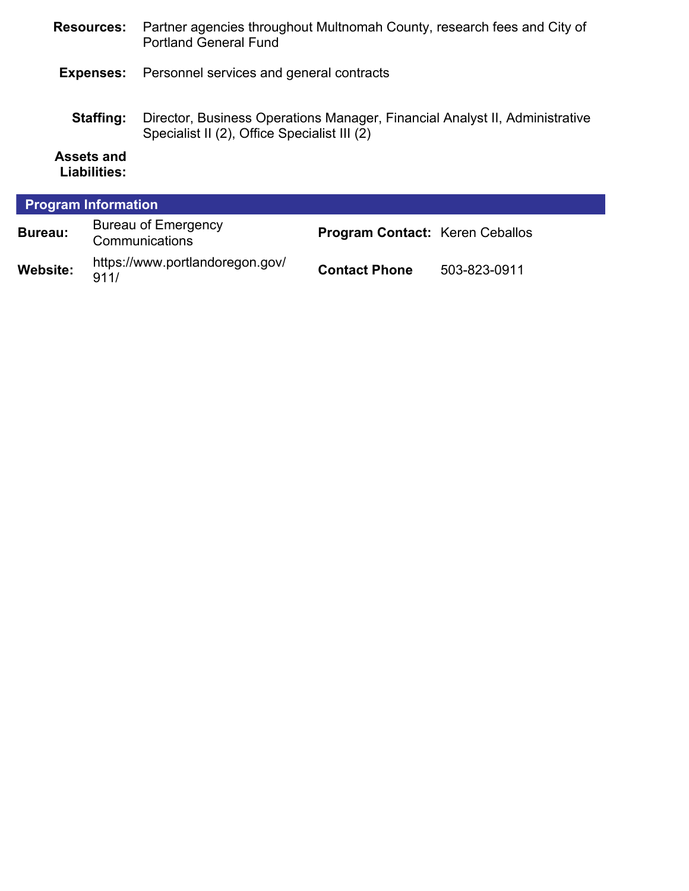| <b>Resources:</b> Partner agencies throughout Multnomah County, research fees and City of |
|-------------------------------------------------------------------------------------------|
| <b>Portland General Fund</b>                                                              |

- **Expenses:** Personnel services and general contracts
	- **Staffing:** Director, Business Operations Manager, Financial Analyst II, Administrative Specialist II (2), Office Specialist III (2)

### **Assets and Liabilities:**

|                | <b>Program Information</b>                   |                                        |              |
|----------------|----------------------------------------------|----------------------------------------|--------------|
| <b>Bureau:</b> | <b>Bureau of Emergency</b><br>Communications | <b>Program Contact: Keren Ceballos</b> |              |
| Website:       | https://www.portlandoregon.gov/<br>911/      | <b>Contact Phone</b>                   | 503-823-0911 |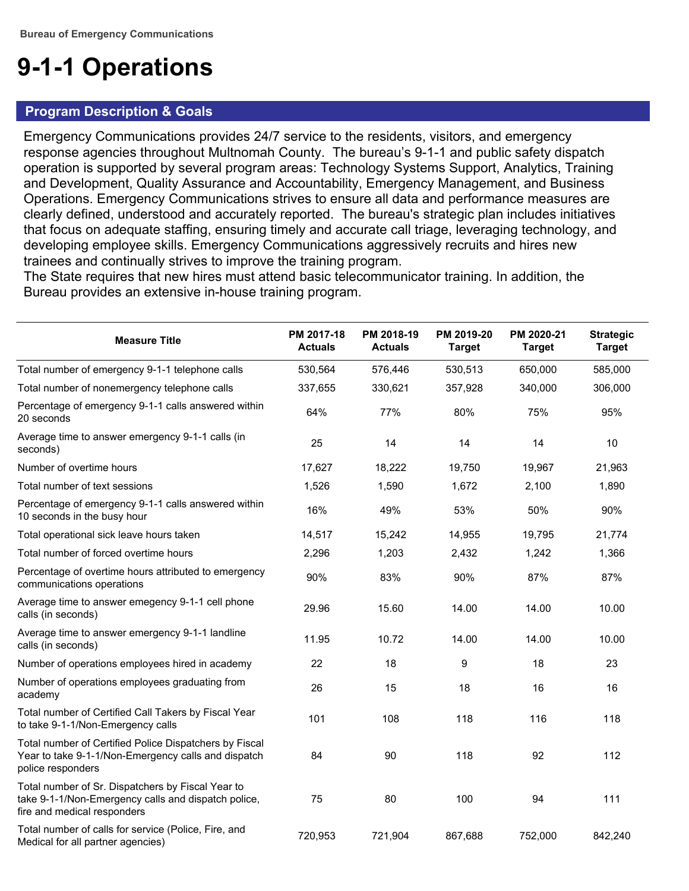# **9-1-1 Operations**

## **Program Description & Goals**

Emergency Communications provides 24/7 service to the residents, visitors, and emergency response agencies throughout Multnomah County. The bureau's 9-1-1 and public safety dispatch operation is supported by several program areas: Technology Systems Support, Analytics, Training and Development, Quality Assurance and Accountability, Emergency Management, and Business Operations. Emergency Communications strives to ensure all data and performance measures are clearly defined, understood and accurately reported. The bureau's strategic plan includes initiatives that focus on adequate staffing, ensuring timely and accurate call triage, leveraging technology, and developing employee skills. Emergency Communications aggressively recruits and hires new trainees and continually strives to improve the training program.

The State requires that new hires must attend basic telecommunicator training. In addition, the Bureau provides an extensive in-house training program.

| <b>Measure Title</b>                                                                                                                    | PM 2017-18<br><b>Actuals</b> | PM 2018-19<br><b>Actuals</b> | PM 2019-20<br><b>Target</b> | PM 2020-21<br><b>Target</b> | <b>Strategic</b><br><b>Target</b> |
|-----------------------------------------------------------------------------------------------------------------------------------------|------------------------------|------------------------------|-----------------------------|-----------------------------|-----------------------------------|
| Total number of emergency 9-1-1 telephone calls                                                                                         | 530,564                      | 576,446                      | 530,513                     | 650,000                     | 585,000                           |
| Total number of nonemergency telephone calls                                                                                            | 337,655                      | 330,621                      | 357,928                     | 340,000                     | 306,000                           |
| Percentage of emergency 9-1-1 calls answered within<br>20 seconds                                                                       | 64%                          | 77%                          | 80%                         | 75%                         | 95%                               |
| Average time to answer emergency 9-1-1 calls (in<br>seconds)                                                                            | 25                           | 14                           | 14                          | 14                          | 10                                |
| Number of overtime hours                                                                                                                | 17,627                       | 18,222                       | 19,750                      | 19,967                      | 21,963                            |
| Total number of text sessions                                                                                                           | 1,526                        | 1,590                        | 1,672                       | 2,100                       | 1,890                             |
| Percentage of emergency 9-1-1 calls answered within<br>10 seconds in the busy hour                                                      | 16%                          | 49%                          | 53%                         | 50%                         | 90%                               |
| Total operational sick leave hours taken                                                                                                | 14,517                       | 15,242                       | 14,955                      | 19,795                      | 21,774                            |
| Total number of forced overtime hours                                                                                                   | 2,296                        | 1,203                        | 2,432                       | 1,242                       | 1,366                             |
| Percentage of overtime hours attributed to emergency<br>communications operations                                                       | 90%                          | 83%                          | 90%                         | 87%                         | 87%                               |
| Average time to answer emegency 9-1-1 cell phone<br>calls (in seconds)                                                                  | 29.96                        | 15.60                        | 14.00                       | 14.00                       | 10.00                             |
| Average time to answer emergency 9-1-1 landline<br>calls (in seconds)                                                                   | 11.95                        | 10.72                        | 14.00                       | 14.00                       | 10.00                             |
| Number of operations employees hired in academy                                                                                         | 22                           | 18                           | 9                           | 18                          | 23                                |
| Number of operations employees graduating from<br>academy                                                                               | 26                           | 15                           | 18                          | 16                          | 16                                |
| Total number of Certified Call Takers by Fiscal Year<br>to take 9-1-1/Non-Emergency calls                                               | 101                          | 108                          | 118                         | 116                         | 118                               |
| Total number of Certified Police Dispatchers by Fiscal<br>Year to take 9-1-1/Non-Emergency calls and dispatch<br>police responders      | 84                           | 90                           | 118                         | 92                          | 112                               |
| Total number of Sr. Dispatchers by Fiscal Year to<br>take 9-1-1/Non-Emergency calls and dispatch police,<br>fire and medical responders | 75                           | 80                           | 100                         | 94                          | 111                               |
| Total number of calls for service (Police, Fire, and<br>Medical for all partner agencies)                                               | 720,953                      | 721,904                      | 867,688                     | 752,000                     | 842,240                           |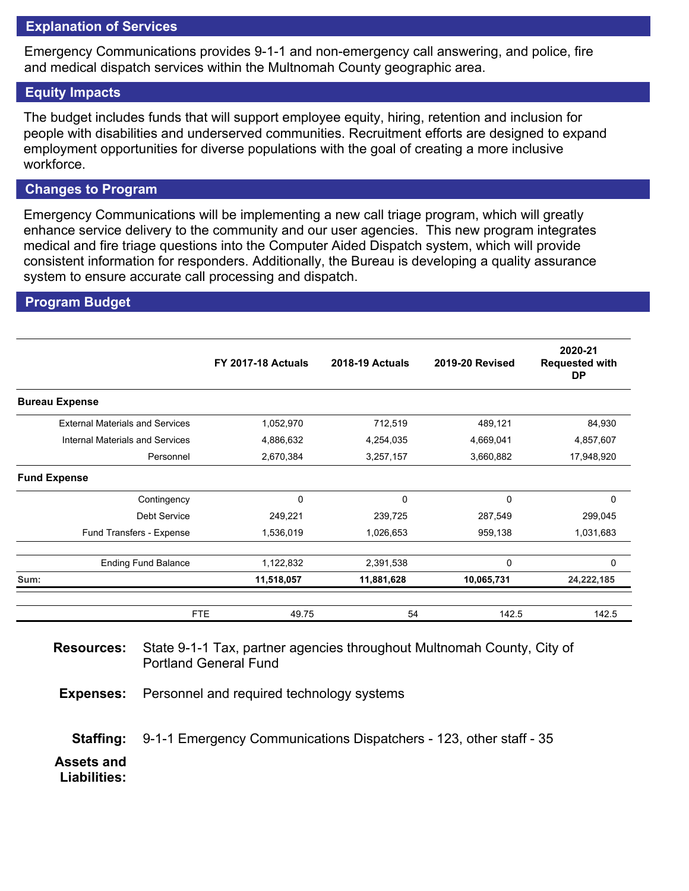### **Explanation of Services**

Emergency Communications provides 9-1-1 and non-emergency call answering, and police, fire and medical dispatch services within the Multnomah County geographic area.

### **Equity Impacts**

The budget includes funds that will support employee equity, hiring, retention and inclusion for people with disabilities and underserved communities. Recruitment efforts are designed to expand employment opportunities for diverse populations with the goal of creating a more inclusive workforce.

### **Changes to Program**

Emergency Communications will be implementing a new call triage program, which will greatly enhance service delivery to the community and our user agencies. This new program integrates medical and fire triage questions into the Computer Aided Dispatch system, which will provide consistent information for responders. Additionally, the Bureau is developing a quality assurance system to ensure accurate call processing and dispatch.

### **Program Budget**

|                                        | <b>FY 2017-18 Actuals</b> | <b>2018-19 Actuals</b> | <b>2019-20 Revised</b> | 2020-21<br><b>Requested with</b><br><b>DP</b> |
|----------------------------------------|---------------------------|------------------------|------------------------|-----------------------------------------------|
| <b>Bureau Expense</b>                  |                           |                        |                        |                                               |
| <b>External Materials and Services</b> | 1,052,970                 | 712,519                | 489,121                | 84,930                                        |
| Internal Materials and Services        | 4,886,632                 | 4,254,035              | 4,669,041              | 4,857,607                                     |
| Personnel                              | 2,670,384                 | 3,257,157              | 3,660,882              | 17,948,920                                    |
| <b>Fund Expense</b>                    |                           |                        |                        |                                               |
| Contingency                            | 0                         | 0                      | $\Omega$               | 0                                             |
| Debt Service                           | 249,221                   | 239,725                | 287,549                | 299,045                                       |
| Fund Transfers - Expense               | 1,536,019                 | 1,026,653              | 959,138                | 1,031,683                                     |
| <b>Ending Fund Balance</b>             | 1,122,832                 | 2,391,538              | 0                      | 0                                             |
| Sum:                                   | 11,518,057                | 11,881,628             | 10,065,731             | 24,222,185                                    |
|                                        |                           |                        |                        |                                               |
| <b>FTE</b>                             | 49.75                     | 54                     | 142.5                  | 142.5                                         |

### **Resources:** State 9-1-1 Tax, partner agencies throughout Multnomah County, City of Portland General Fund

**Expenses:** Personnel and required technology systems

**Staffing:** 9-1-1 Emergency Communications Dispatchers - 123, other staff - 35

**Assets and Liabilities:**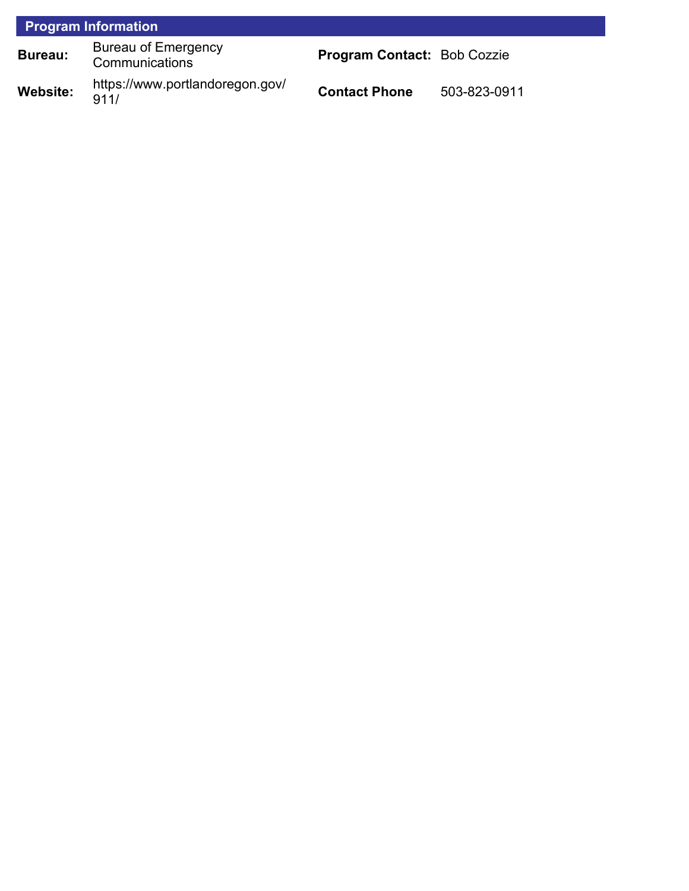| <b>Program Information</b> |                                              |                                    |              |  |  |  |  |
|----------------------------|----------------------------------------------|------------------------------------|--------------|--|--|--|--|
| <b>Bureau:</b>             | <b>Bureau of Emergency</b><br>Communications | <b>Program Contact: Bob Cozzie</b> |              |  |  |  |  |
| Website:                   | https://www.portlandoregon.gov/<br>911/      | <b>Contact Phone</b>               | 503-823-0911 |  |  |  |  |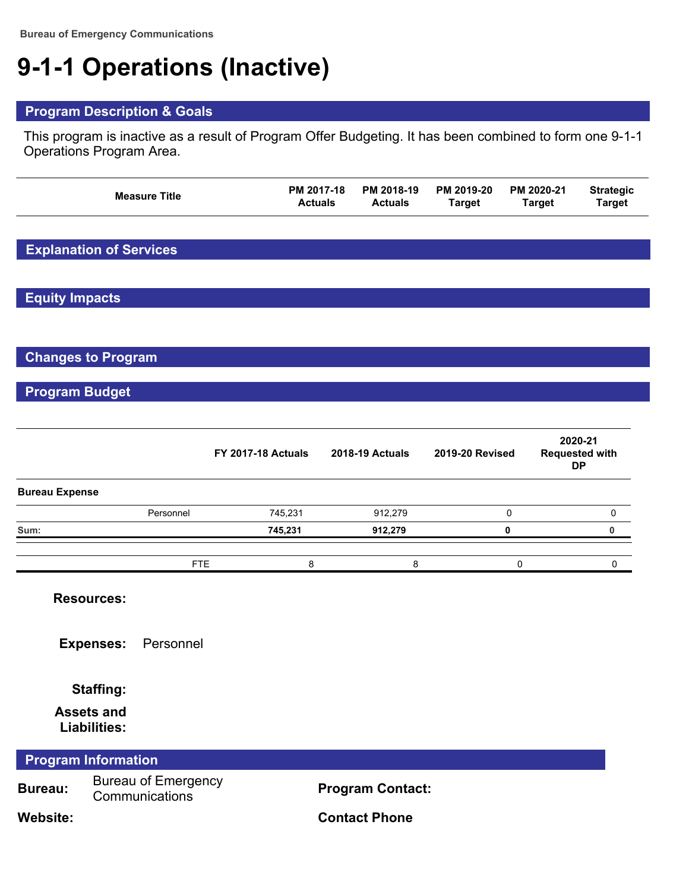# **9-1-1 Operations (Inactive)**

### **Program Description & Goals**

This program is inactive as a result of Program Offer Budgeting. It has been combined to form one 9-1-1 Operations Program Area.

| <b>Measure Title</b>           |                                          |                                              | PM 2017-18<br><b>Actuals</b> | PM 2018-19<br><b>Actuals</b> | PM 2019-20<br><b>Target</b> | PM 2020-21<br><b>Target</b> | <b>Strategic</b><br><b>Target</b> |                                               |
|--------------------------------|------------------------------------------|----------------------------------------------|------------------------------|------------------------------|-----------------------------|-----------------------------|-----------------------------------|-----------------------------------------------|
| <b>Explanation of Services</b> |                                          |                                              |                              |                              |                             |                             |                                   |                                               |
| <b>Equity Impacts</b>          |                                          |                                              |                              |                              |                             |                             |                                   |                                               |
| <b>Changes to Program</b>      |                                          |                                              |                              |                              |                             |                             |                                   |                                               |
| <b>Program Budget</b>          |                                          |                                              |                              |                              |                             |                             |                                   |                                               |
|                                |                                          |                                              | <b>FY 2017-18 Actuals</b>    |                              | <b>2018-19 Actuals</b>      | 2019-20 Revised             |                                   | 2020-21<br><b>Requested with</b><br><b>DP</b> |
| <b>Bureau Expense</b>          |                                          |                                              |                              |                              |                             |                             |                                   |                                               |
| Sum:                           |                                          | Personnel                                    | 745,231<br>745,231           |                              | 912,279<br>912,279          |                             | 0<br>0                            | 0<br>$\bf{0}$                                 |
|                                |                                          | <b>FTE</b>                                   | 8                            |                              | 8                           |                             | 0                                 | 0                                             |
|                                | <b>Resources:</b>                        |                                              |                              |                              |                             |                             |                                   |                                               |
|                                | <b>Expenses:</b>                         | Personnel                                    |                              |                              |                             |                             |                                   |                                               |
|                                | <b>Staffing:</b>                         |                                              |                              |                              |                             |                             |                                   |                                               |
|                                | <b>Assets and</b><br><b>Liabilities:</b> |                                              |                              |                              |                             |                             |                                   |                                               |
| <b>Program Information</b>     |                                          |                                              |                              |                              |                             |                             |                                   |                                               |
| <b>Bureau:</b>                 |                                          | <b>Bureau of Emergency</b><br>Communications |                              |                              | <b>Program Contact:</b>     |                             |                                   |                                               |
| <b>Website:</b>                |                                          |                                              |                              |                              | <b>Contact Phone</b>        |                             |                                   |                                               |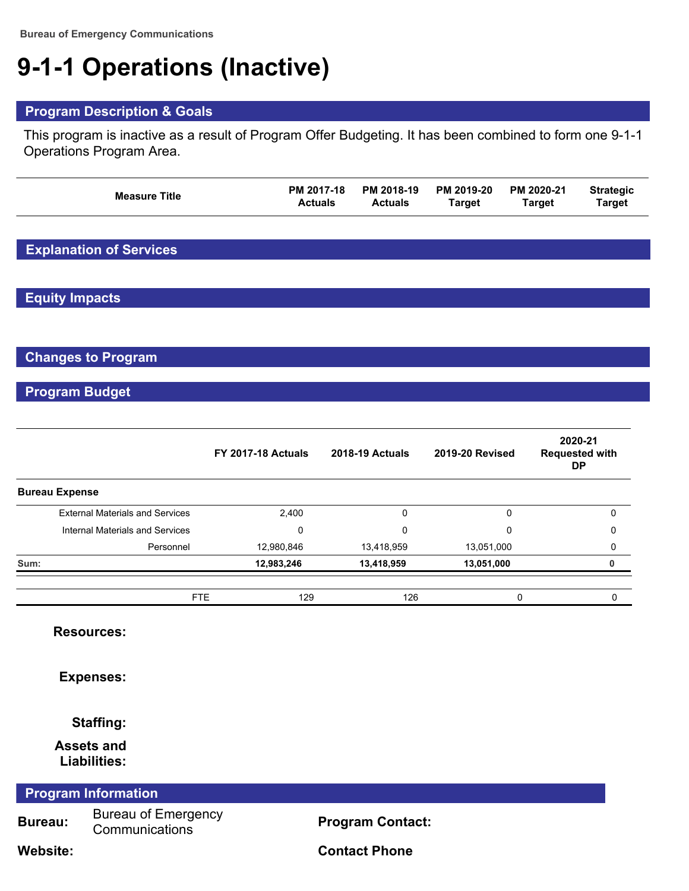# **9-1-1 Operations (Inactive)**

### **Program Description & Goals**

This program is inactive as a result of Program Offer Budgeting. It has been combined to form one 9-1-1 Operations Program Area.

| <b>Measure Title</b> | PM 2017-18<br><b>Actuals</b> | PM 2018-19<br>Actuals | PM 2019-20<br>Target | PM 2020-21<br><b>Target</b> | <b>Strategic</b><br><b>Target</b> |  |
|----------------------|------------------------------|-----------------------|----------------------|-----------------------------|-----------------------------------|--|
|                      |                              |                       |                      |                             |                                   |  |

**Explanation of Services**

**Equity Impacts**

**Changes to Program**

## **Program Budget**

|                                        | <b>FY 2017-18 Actuals</b> | <b>2018-19 Actuals</b> | <b>2019-20 Revised</b> | 2020-21<br><b>Requested with</b><br><b>DP</b> |
|----------------------------------------|---------------------------|------------------------|------------------------|-----------------------------------------------|
| <b>Bureau Expense</b>                  |                           |                        |                        |                                               |
| <b>External Materials and Services</b> | 2,400                     | 0                      | 0                      |                                               |
| Internal Materials and Services        | 0                         | 0                      | 0                      |                                               |
| Personnel                              | 12,980,846                | 13,418,959             | 13,051,000             |                                               |
| Sum:                                   | 12,983,246                | 13,418,959             | 13,051,000             | n                                             |
|                                        |                           |                        |                        |                                               |
|                                        | <b>FTE</b><br>129         | 126                    |                        |                                               |

**Resources:**

**Expenses:**

**Staffing:**

**Assets and Liabilities:**

|                | Liabilities:                                 |                         |  |
|----------------|----------------------------------------------|-------------------------|--|
|                | <b>Program Information</b>                   |                         |  |
| <b>Bureau:</b> | <b>Bureau of Emergency</b><br>Communications | <b>Program Contact:</b> |  |
| Website:       |                                              | <b>Contact Phone</b>    |  |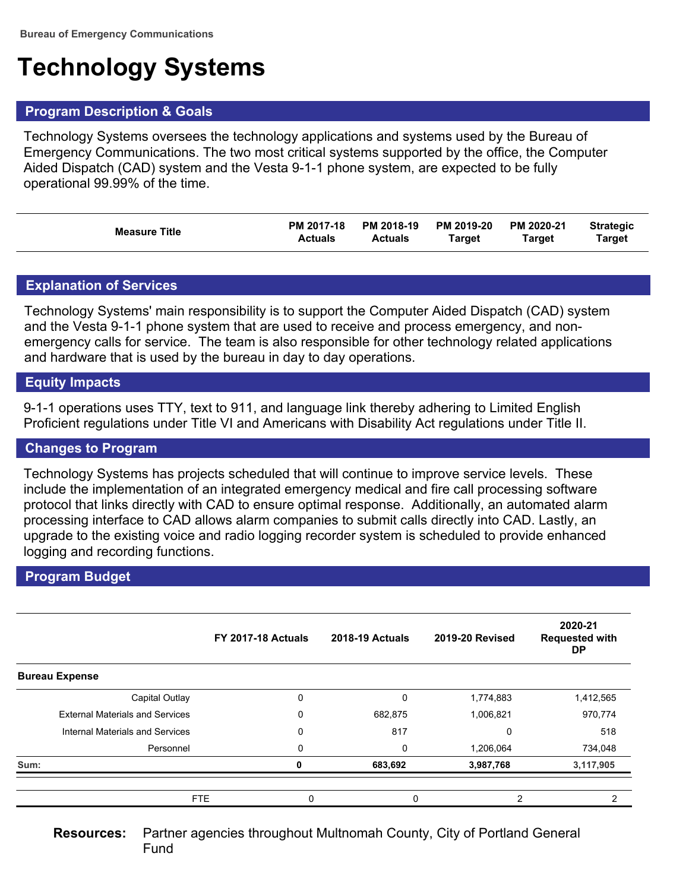# **Technology Systems**

## **Program Description & Goals**

Technology Systems oversees the technology applications and systems used by the Bureau of Emergency Communications. The two most critical systems supported by the office, the Computer Aided Dispatch (CAD) system and the Vesta 9-1-1 phone system, are expected to be fully operational 99.99% of the time.

| <b>Measure Title</b> | PM 2017-18     | PM 2018-19     | PM 2019-20 | PM 2020-21 | <b>Strategic</b> |
|----------------------|----------------|----------------|------------|------------|------------------|
|                      | <b>Actuals</b> | <b>Actuals</b> | Target     | Tarɑet     | Target           |

### **Explanation of Services**

Technology Systems' main responsibility is to support the Computer Aided Dispatch (CAD) system and the Vesta 9-1-1 phone system that are used to receive and process emergency, and nonemergency calls for service. The team is also responsible for other technology related applications and hardware that is used by the bureau in day to day operations.

### **Equity Impacts**

9-1-1 operations uses TTY, text to 911, and language link thereby adhering to Limited English Proficient regulations under Title VI and Americans with Disability Act regulations under Title II.

### **Changes to Program**

Technology Systems has projects scheduled that will continue to improve service levels. These include the implementation of an integrated emergency medical and fire call processing software protocol that links directly with CAD to ensure optimal response. Additionally, an automated alarm processing interface to CAD allows alarm companies to submit calls directly into CAD. Lastly, an upgrade to the existing voice and radio logging recorder system is scheduled to provide enhanced logging and recording functions.

### **Program Budget**

|                                        | <b>FY 2017-18 Actuals</b> | <b>2018-19 Actuals</b> | <b>2019-20 Revised</b> | 2020-21<br><b>Requested with</b><br><b>DP</b> |
|----------------------------------------|---------------------------|------------------------|------------------------|-----------------------------------------------|
| <b>Bureau Expense</b>                  |                           |                        |                        |                                               |
| Capital Outlay                         | 0                         | $\Omega$               | 1,774,883              | 1,412,565                                     |
| <b>External Materials and Services</b> | 0                         | 682,875                | 1,006,821              | 970,774                                       |
| Internal Materials and Services        | 0                         | 817                    | 0                      | 518                                           |
| Personnel                              | 0                         | $\Omega$               | 1,206,064              | 734,048                                       |
| Sum:                                   | 0                         | 683,692                | 3,987,768              | 3,117,905                                     |
|                                        | <b>FTE</b><br>O           |                        | c                      |                                               |

**Resources:** Partner agencies throughout Multnomah County, City of Portland General Fund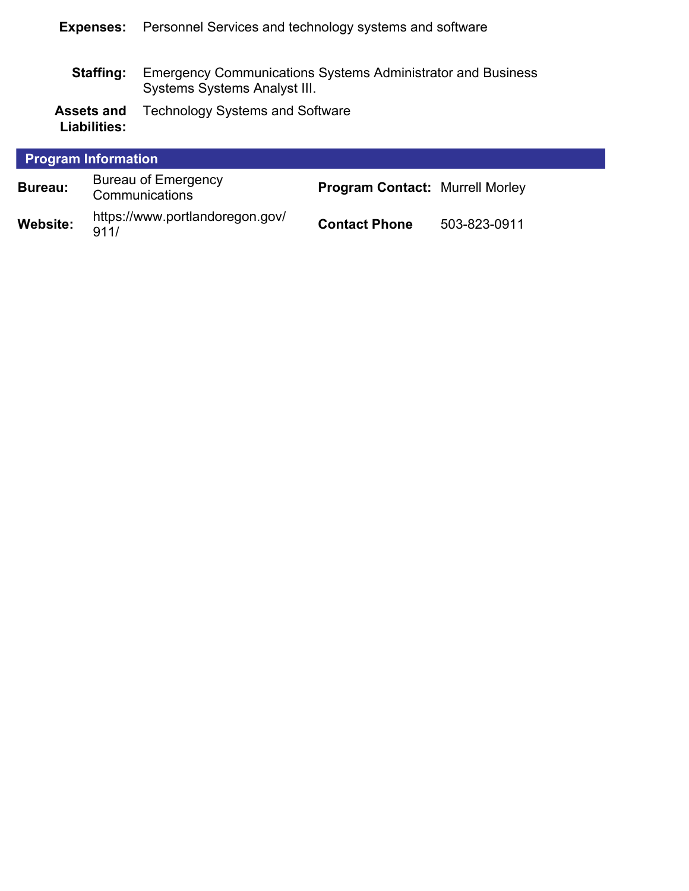| <b>Expenses:</b> |  |  |  |  | Personnel Services and technology systems and software |
|------------------|--|--|--|--|--------------------------------------------------------|
|------------------|--|--|--|--|--------------------------------------------------------|

- **Staffing:** Emergency Communications Systems Administrator and Business Systems Systems Analyst III.
- **Assets and Liabilities:** Technology Systems and Software

| <b>Program Information</b> |                                         |                                        |              |  |  |  |  |
|----------------------------|-----------------------------------------|----------------------------------------|--------------|--|--|--|--|
| <b>Bureau:</b>             | Bureau of Emergency<br>Communications   | <b>Program Contact: Murrell Morley</b> |              |  |  |  |  |
| <b>Website:</b>            | https://www.portlandoregon.gov/<br>911/ | <b>Contact Phone</b>                   | 503-823-0911 |  |  |  |  |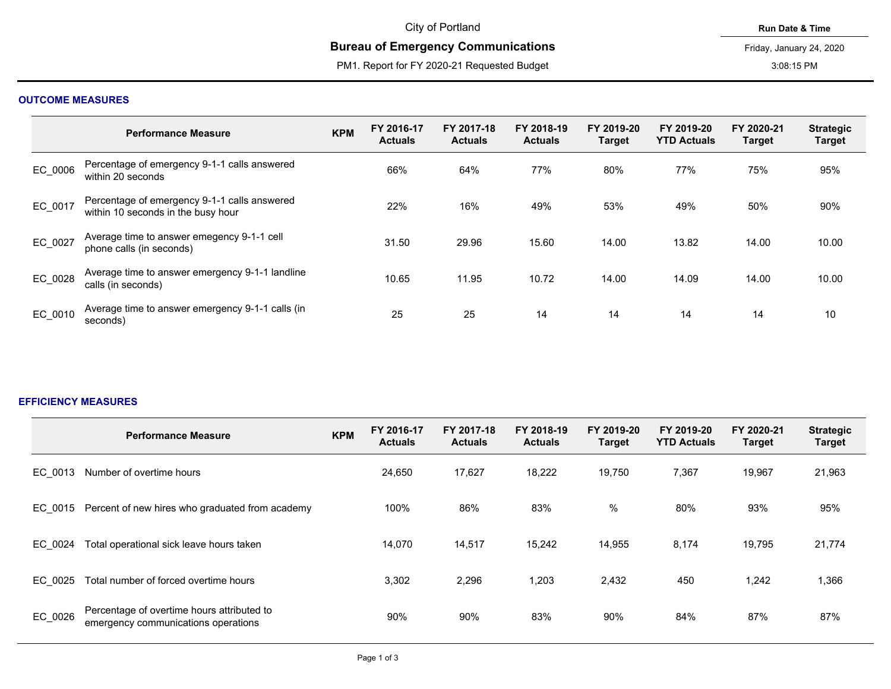## **Bureau of Emergency Communications Example 24, 2020** Friday, January 24, 2020

PM1. Report for FY 2020-21 Requested Budget 3:08:15 PM

#### **OUTCOME MEASURES**

|         | <b>Performance Measure</b>                                                         | <b>KPM</b> | FY 2016-17<br><b>Actuals</b> | FY 2017-18<br><b>Actuals</b> | FY 2018-19<br><b>Actuals</b> | FY 2019-20<br><b>Target</b> | FY 2019-20<br><b>YTD Actuals</b> | FY 2020-21<br><b>Target</b> | <b>Strategic</b><br><b>Target</b> |
|---------|------------------------------------------------------------------------------------|------------|------------------------------|------------------------------|------------------------------|-----------------------------|----------------------------------|-----------------------------|-----------------------------------|
| EC 0006 | Percentage of emergency 9-1-1 calls answered<br>within 20 seconds                  |            | 66%                          | 64%                          | 77%                          | 80%                         | 77%                              | 75%                         | 95%                               |
| EC 0017 | Percentage of emergency 9-1-1 calls answered<br>within 10 seconds in the busy hour |            | 22%                          | 16%                          | 49%                          | 53%                         | 49%                              | 50%                         | 90%                               |
| EC 0027 | Average time to answer emegency 9-1-1 cell<br>phone calls (in seconds)             |            | 31.50                        | 29.96                        | 15.60                        | 14.00                       | 13.82                            | 14.00                       | 10.00                             |
| EC 0028 | Average time to answer emergency 9-1-1 landline<br>calls (in seconds)              |            | 10.65                        | 11.95                        | 10.72                        | 14.00                       | 14.09                            | 14.00                       | 10.00                             |
| EC 0010 | Average time to answer emergency 9-1-1 calls (in<br>seconds)                       |            | 25                           | 25                           | 14                           | 14                          | 14                               | 14                          | 10                                |

#### **EFFICIENCY MEASURES**

|         | <b>Performance Measure</b>                                                        | <b>KPM</b> | FY 2016-17<br><b>Actuals</b> | FY 2017-18<br><b>Actuals</b> | FY 2018-19<br><b>Actuals</b> | FY 2019-20<br><b>Target</b> | FY 2019-20<br><b>YTD Actuals</b> | FY 2020-21<br><b>Target</b> | <b>Strategic</b><br><b>Target</b> |
|---------|-----------------------------------------------------------------------------------|------------|------------------------------|------------------------------|------------------------------|-----------------------------|----------------------------------|-----------------------------|-----------------------------------|
| EC 0013 | Number of overtime hours                                                          |            | 24,650                       | 17,627                       | 18,222                       | 19,750                      | 7,367                            | 19,967                      | 21,963                            |
| EC 0015 | Percent of new hires who graduated from academy                                   |            | 100%                         | 86%                          | 83%                          | %                           | 80%                              | 93%                         | 95%                               |
| EC 0024 | Total operational sick leave hours taken                                          |            | 14,070                       | 14,517                       | 15,242                       | 14,955                      | 8,174                            | 19,795                      | 21,774                            |
| EC 0025 | Total number of forced overtime hours                                             |            | 3,302                        | 2,296                        | 1,203                        | 2,432                       | 450                              | 1,242                       | 1,366                             |
| EC 0026 | Percentage of overtime hours attributed to<br>emergency communications operations |            | 90%                          | 90%                          | 83%                          | 90%                         | 84%                              | 87%                         | 87%                               |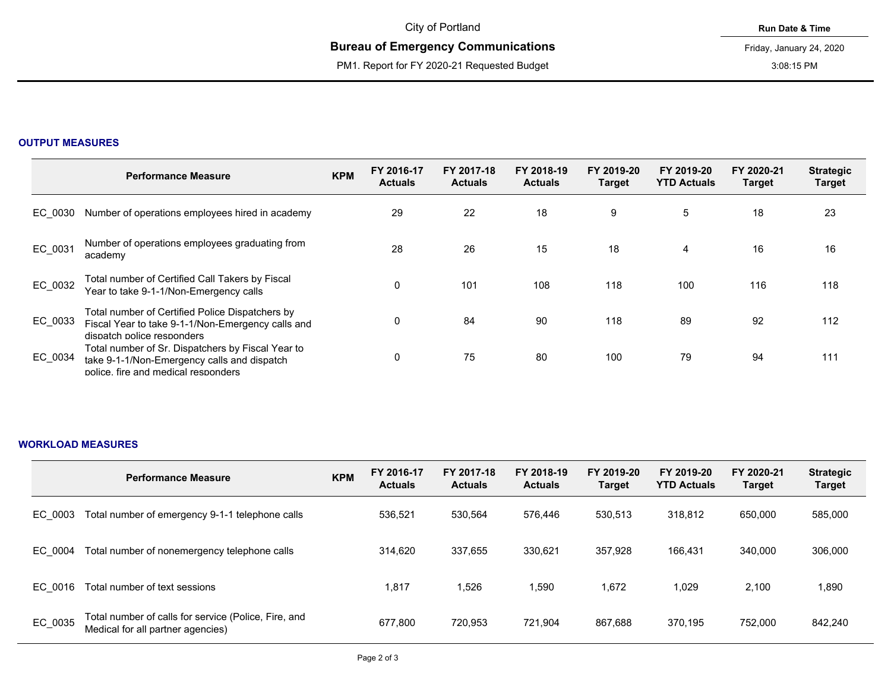#### **OUTPUT MEASURES**

|         | <b>Performance Measure</b>                                                                                                              | <b>KPM</b> | FY 2016-17<br><b>Actuals</b> | FY 2017-18<br><b>Actuals</b> | FY 2018-19<br><b>Actuals</b> | FY 2019-20<br><b>Target</b> | FY 2019-20<br><b>YTD Actuals</b> | FY 2020-21<br><b>Target</b> | <b>Strategic</b><br><b>Target</b> |
|---------|-----------------------------------------------------------------------------------------------------------------------------------------|------------|------------------------------|------------------------------|------------------------------|-----------------------------|----------------------------------|-----------------------------|-----------------------------------|
| EC 0030 | Number of operations employees hired in academy                                                                                         |            | 29                           | 22                           | 18                           | 9                           | 5                                | 18                          | 23                                |
| EC 0031 | Number of operations employees graduating from<br>academy                                                                               |            | 28                           | 26                           | 15                           | 18                          | 4                                | 16                          | 16                                |
| EC 0032 | Total number of Certified Call Takers by Fiscal<br>Year to take 9-1-1/Non-Emergency calls                                               |            | 0                            | 101                          | 108                          | 118                         | 100                              | 116                         | 118                               |
| EC 0033 | Total number of Certified Police Dispatchers by<br>Fiscal Year to take 9-1-1/Non-Emergency calls and<br>dispatch police responders      |            | 0                            | 84                           | 90                           | 118                         | 89                               | 92                          | 112                               |
| EC_0034 | Total number of Sr. Dispatchers by Fiscal Year to<br>take 9-1-1/Non-Emergency calls and dispatch<br>police, fire and medical responders |            | 0                            | 75                           | 80                           | 100                         | 79                               | 94                          | 111                               |

#### **WORKLOAD MEASURES**

|         | <b>Performance Measure</b>                                                                | <b>KPM</b> | FY 2016-17<br><b>Actuals</b> | FY 2017-18<br><b>Actuals</b> | FY 2018-19<br><b>Actuals</b> | FY 2019-20<br><b>Target</b> | FY 2019-20<br><b>YTD Actuals</b> | FY 2020-21<br><b>Target</b> | <b>Strategic</b><br><b>Target</b> |
|---------|-------------------------------------------------------------------------------------------|------------|------------------------------|------------------------------|------------------------------|-----------------------------|----------------------------------|-----------------------------|-----------------------------------|
| EC 0003 | Total number of emergency 9-1-1 telephone calls                                           |            | 536.521                      | 530,564                      | 576.446                      | 530.513                     | 318.812                          | 650,000                     | 585,000                           |
| EC 0004 | Total number of nonemergency telephone calls                                              |            | 314.620                      | 337,655                      | 330,621                      | 357,928                     | 166.431                          | 340,000                     | 306,000                           |
| EC 0016 | Total number of text sessions                                                             |            | 1,817                        | ,526                         | 1,590                        | 1,672                       | 1,029                            | 2,100                       | 1,890                             |
| EC 0035 | Total number of calls for service (Police, Fire, and<br>Medical for all partner agencies) |            | 677.800                      | 720.953                      | 721,904                      | 867.688                     | 370,195                          | 752,000                     | 842,240                           |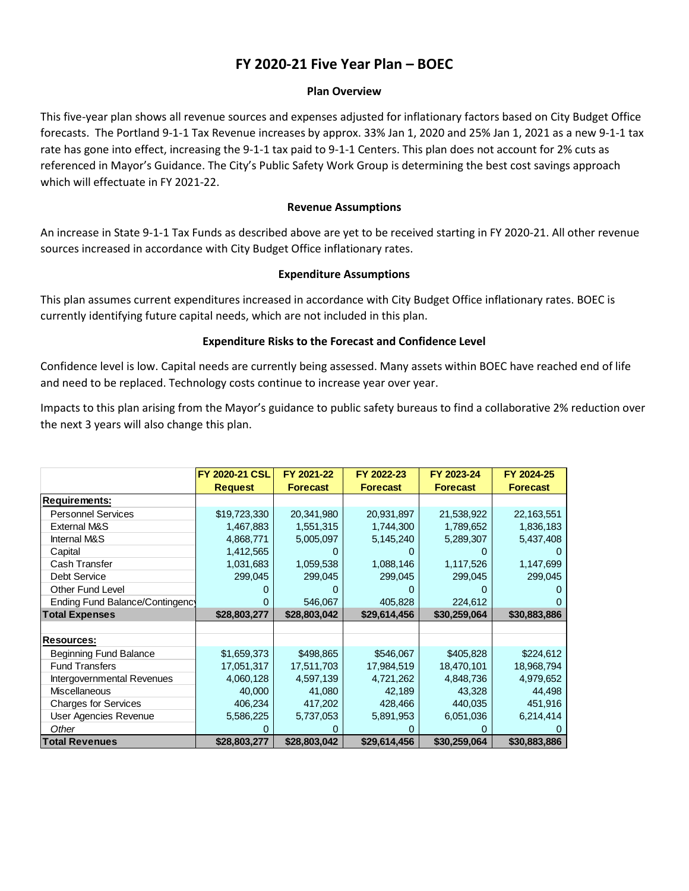## **FY 2020-21 Five Year Plan – BOEC**

#### **Plan Overview**

This five-year plan shows all revenue sources and expenses adjusted for inflationary factors based on City Budget Office forecasts. The Portland 9-1-1 Tax Revenue increases by approx. 33% Jan 1, 2020 and 25% Jan 1, 2021 as a new 9-1-1 tax rate has gone into effect, increasing the 9-1-1 tax paid to 9-1-1 Centers. This plan does not account for 2% cuts as referenced in Mayor's Guidance. The City's Public Safety Work Group is determining the best cost savings approach which will effectuate in FY 2021-22.

#### **Revenue Assumptions**

An increase in State 9-1-1 Tax Funds as described above are yet to be received starting in FY 2020-21. All other revenue sources increased in accordance with City Budget Office inflationary rates.

### **Expenditure Assumptions**

This plan assumes current expenditures increased in accordance with City Budget Office inflationary rates. BOEC is currently identifying future capital needs, which are not included in this plan.

### **Expenditure Risks to the Forecast and Confidence Level**

Confidence level is low. Capital needs are currently being assessed. Many assets within BOEC have reached end of life and need to be replaced. Technology costs continue to increase year over year.

Impacts to this plan arising from the Mayor's guidance to public safety bureaus to find a collaborative 2% reduction over the next 3 years will also change this plan.

| <b>Forecast</b><br>20,931,897<br>1,744,300<br>5,145,240<br>1,088,146<br>299,045<br>405,828<br>\$29,614,456 | <b>Forecast</b><br>21,538,922<br>1,789,652<br>5,289,307<br>1,117,526<br>299,045<br>224,612<br>\$30,259,064 | <b>Forecast</b><br>22,163,551<br>1,836,183<br>5,437,408<br>1,147,699<br>299,045<br>\$30,883,886 |
|------------------------------------------------------------------------------------------------------------|------------------------------------------------------------------------------------------------------------|-------------------------------------------------------------------------------------------------|
|                                                                                                            |                                                                                                            |                                                                                                 |
|                                                                                                            |                                                                                                            |                                                                                                 |
|                                                                                                            |                                                                                                            |                                                                                                 |
|                                                                                                            |                                                                                                            |                                                                                                 |
|                                                                                                            |                                                                                                            |                                                                                                 |
|                                                                                                            |                                                                                                            |                                                                                                 |
|                                                                                                            |                                                                                                            |                                                                                                 |
|                                                                                                            |                                                                                                            |                                                                                                 |
|                                                                                                            |                                                                                                            |                                                                                                 |
|                                                                                                            |                                                                                                            |                                                                                                 |
|                                                                                                            |                                                                                                            |                                                                                                 |
|                                                                                                            |                                                                                                            |                                                                                                 |
|                                                                                                            |                                                                                                            |                                                                                                 |
| \$546,067                                                                                                  | \$405,828                                                                                                  | \$224,612                                                                                       |
| 17,984,519                                                                                                 | 18,470,101                                                                                                 | 18,968,794                                                                                      |
| 4,721,262                                                                                                  | 4,848,736                                                                                                  | 4,979,652                                                                                       |
| 42,189                                                                                                     | 43,328                                                                                                     | 44,498                                                                                          |
| 428,466                                                                                                    | 440,035                                                                                                    | 451,916                                                                                         |
| 5,891,953                                                                                                  | 6,051,036                                                                                                  | 6,214,414                                                                                       |
|                                                                                                            |                                                                                                            |                                                                                                 |
|                                                                                                            | \$30,259,064                                                                                               | \$30,883,886                                                                                    |
| 17,511,703<br>4,597,139<br>41,080<br>417,202<br>5,737,053                                                  | \$28,803,042<br>\$29,614,456                                                                               |                                                                                                 |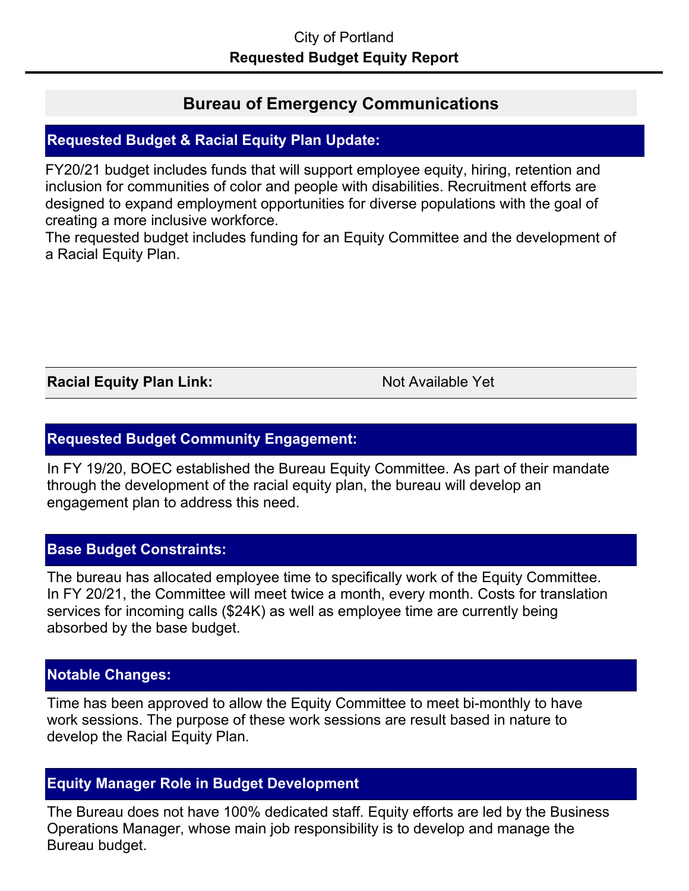# **Bureau of Emergency Communications**

# **Requested Budget & Racial Equity Plan Update:**

FY20/21 budget includes funds that will support employee equity, hiring, retention and inclusion for communities of color and people with disabilities. Recruitment efforts are designed to expand employment opportunities for diverse populations with the goal of creating a more inclusive workforce.

The requested budget includes funding for an Equity Committee and the development of a Racial Equity Plan.

## **Racial Equity Plan Link:** Not Available Yet

## **Requested Budget Community Engagement:**

In FY 19/20, BOEC established the Bureau Equity Committee. As part of their mandate through the development of the racial equity plan, the bureau will develop an engagement plan to address this need.

## **Base Budget Constraints:**

The bureau has allocated employee time to specifically work of the Equity Committee. In FY 20/21, the Committee will meet twice a month, every month. Costs for translation services for incoming calls (\$24K) as well as employee time are currently being absorbed by the base budget.

## **Notable Changes:**

Time has been approved to allow the Equity Committee to meet bi-monthly to have work sessions. The purpose of these work sessions are result based in nature to develop the Racial Equity Plan.

## **Equity Manager Role in Budget Development**

The Bureau does not have 100% dedicated staff. Equity efforts are led by the Business Operations Manager, whose main job responsibility is to develop and manage the Bureau budget.